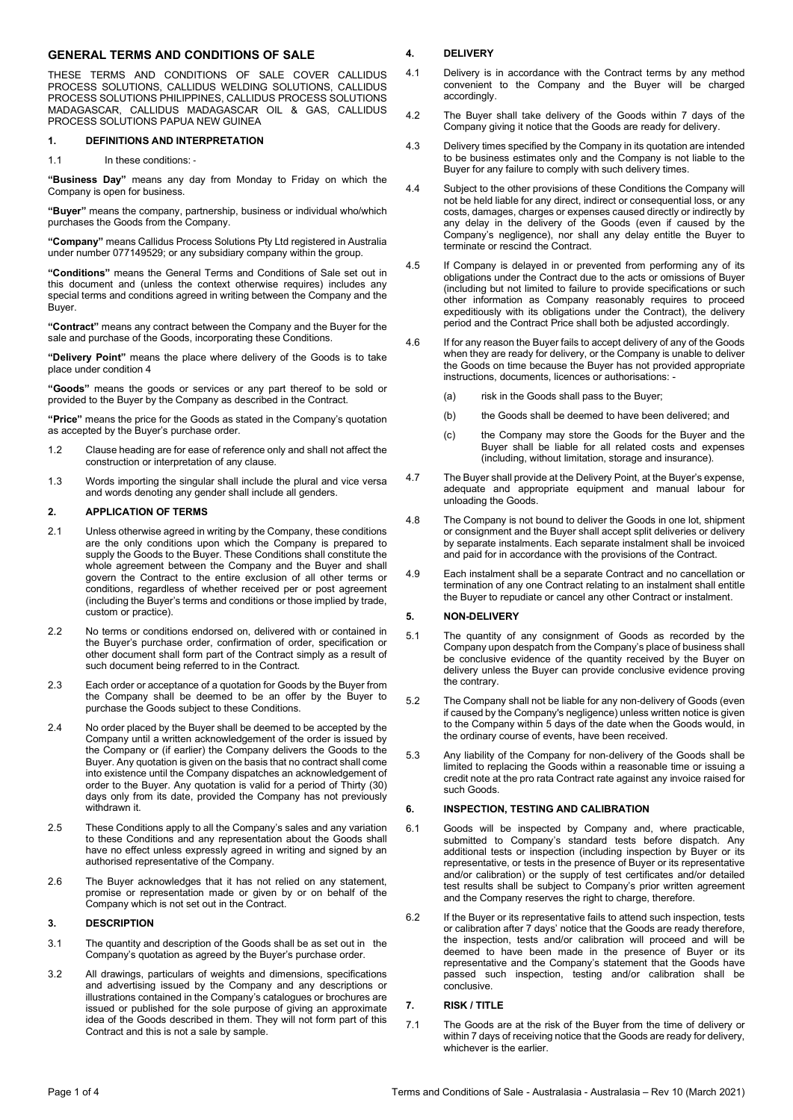# GENERAL TERMS AND CONDITIONS OF SALE

THESE TERMS AND CONDITIONS OF SALE COVER CALLIDUS PROCESS SOLUTIONS, CALLIDUS WELDING SOLUTIONS, CALLIDUS PROCESS SOLUTIONS PHILIPPINES, CALLIDUS PROCESS SOLUTIONS MADAGASCAR, CALLIDUS MADAGASCAR OIL & GAS, CALLIDUS PROCESS SOLUTIONS PAPUA NEW GUINEA

#### 1. DEFINITIONS AND INTERPRETATION

1.1 In these conditions: -

"Business Day" means any day from Monday to Friday on which the Company is open for business.

"Buyer" means the company, partnership, business or individual who/which purchases the Goods from the Company.

"Company" means Callidus Process Solutions Pty Ltd registered in Australia under number 077149529; or any subsidiary company within the group.

"Conditions" means the General Terms and Conditions of Sale set out in this document and (unless the context otherwise requires) includes any special terms and conditions agreed in writing between the Company and the Buyer.

"Contract" means any contract between the Company and the Buyer for the sale and purchase of the Goods, incorporating these Conditions.

"Delivery Point" means the place where delivery of the Goods is to take place under condition 4

"Goods" means the goods or services or any part thereof to be sold or provided to the Buyer by the Company as described in the Contract.

"Price" means the price for the Goods as stated in the Company's quotation as accepted by the Buyer's purchase order.

- 1.2 Clause heading are for ease of reference only and shall not affect the construction or interpretation of any clause.
- 1.3 Words importing the singular shall include the plural and vice versa and words denoting any gender shall include all genders.

### 2. APPLICATION OF TERMS

- 2.1 Unless otherwise agreed in writing by the Company, these conditions are the only conditions upon which the Company is prepared to supply the Goods to the Buyer. These Conditions shall constitute the whole agreement between the Company and the Buyer and shall govern the Contract to the entire exclusion of all other terms or conditions, regardless of whether received per or post agreement (including the Buyer's terms and conditions or those implied by trade, custom or practice).
- 2.2 No terms or conditions endorsed on, delivered with or contained in the Buyer's purchase order, confirmation of order, specification or other document shall form part of the Contract simply as a result of such document being referred to in the Contract.
- 2.3 Each order or acceptance of a quotation for Goods by the Buyer from the Company shall be deemed to be an offer by the Buyer to purchase the Goods subject to these Conditions.
- 2.4 No order placed by the Buyer shall be deemed to be accepted by the Company until a written acknowledgement of the order is issued by the Company or (if earlier) the Company delivers the Goods to the Buyer. Any quotation is given on the basis that no contract shall come into existence until the Company dispatches an acknowledgement of order to the Buyer. Any quotation is valid for a period of Thirty (30) days only from its date, provided the Company has not previously withdrawn it.
- 2.5 These Conditions apply to all the Company's sales and any variation to these Conditions and any representation about the Goods shall have no effect unless expressly agreed in writing and signed by an authorised representative of the Company.
- 2.6 The Buyer acknowledges that it has not relied on any statement, promise or representation made or given by or on behalf of the Company which is not set out in the Contract.

### 3. DESCRIPTION

- 3.1 The quantity and description of the Goods shall be as set out in the Company's quotation as agreed by the Buyer's purchase order.
- 3.2 All drawings, particulars of weights and dimensions, specifications and advertising issued by the Company and any descriptions or illustrations contained in the Company's catalogues or brochures are issued or published for the sole purpose of giving an approximate idea of the Goods described in them. They will not form part of this Contract and this is not a sale by sample.

### 4. DELIVERY

- 4.1 Delivery is in accordance with the Contract terms by any method convenient to the Company and the Buyer will be charged accordingly.
- 4.2 The Buyer shall take delivery of the Goods within 7 days of the Company giving it notice that the Goods are ready for delivery.
- 4.3 Delivery times specified by the Company in its quotation are intended to be business estimates only and the Company is not liable to the Buyer for any failure to comply with such delivery times.
- 4.4 Subject to the other provisions of these Conditions the Company will not be held liable for any direct, indirect or consequential loss, or any costs, damages, charges or expenses caused directly or indirectly by any delay in the delivery of the Goods (even if caused by the Company's negligence), nor shall any delay entitle the Buyer to terminate or rescind the Contract.
- 4.5 If Company is delayed in or prevented from performing any of its obligations under the Contract due to the acts or omissions of Buyer (including but not limited to failure to provide specifications or such other information as Company reasonably requires to proceed expeditiously with its obligations under the Contract), the delivery period and the Contract Price shall both be adjusted accordingly.
- 4.6 If for any reason the Buyer fails to accept delivery of any of the Goods when they are ready for delivery, or the Company is unable to deliver the Goods on time because the Buyer has not provided appropriate instructions, documents, licences or authorisations: -
	- (a) risk in the Goods shall pass to the Buyer;
	- (b) the Goods shall be deemed to have been delivered; and
	- (c) the Company may store the Goods for the Buyer and the Buyer shall be liable for all related costs and expenses (including, without limitation, storage and insurance).
- 4.7 The Buyer shall provide at the Delivery Point, at the Buyer's expense, adequate and appropriate equipment and manual labour for unloading the Goods.
- 4.8 The Company is not bound to deliver the Goods in one lot, shipment or consignment and the Buyer shall accept split deliveries or delivery by separate instalments. Each separate instalment shall be invoiced and paid for in accordance with the provisions of the Contract.
- 4.9 Each instalment shall be a separate Contract and no cancellation or termination of any one Contract relating to an instalment shall entitle the Buyer to repudiate or cancel any other Contract or instalment.

### 5. NON-DELIVERY

- 5.1 The quantity of any consignment of Goods as recorded by the Company upon despatch from the Company's place of business shall be conclusive evidence of the quantity received by the Buyer on delivery unless the Buyer can provide conclusive evidence proving the contrary.
- 5.2 The Company shall not be liable for any non-delivery of Goods (even if caused by the Company's negligence) unless written notice is given to the Company within 5 days of the date when the Goods would, in the ordinary course of events, have been received.
- 5.3 Any liability of the Company for non‐delivery of the Goods shall be limited to replacing the Goods within a reasonable time or issuing a credit note at the pro rata Contract rate against any invoice raised for such Goods.

#### 6. INSPECTION, TESTING AND CALIBRATION

- 6.1 Goods will be inspected by Company and, where practicable, submitted to Company's standard tests before dispatch. Any additional tests or inspection (including inspection by Buyer or its representative, or tests in the presence of Buyer or its representative and/or calibration) or the supply of test certificates and/or detailed test results shall be subject to Company's prior written agreement and the Company reserves the right to charge, therefore.
- 6.2 If the Buyer or its representative fails to attend such inspection, tests or calibration after 7 days' notice that the Goods are ready therefore, the inspection, tests and/or calibration will proceed and will be deemed to have been made in the presence of Buyer or its representative and the Company's statement that the Goods have passed such inspection, testing and/or calibration shall be .<br>conclusive.

#### 7. RISK / TITLE

7.1 The Goods are at the risk of the Buyer from the time of delivery or within 7 days of receiving notice that the Goods are ready for delivery, whichever is the earlier.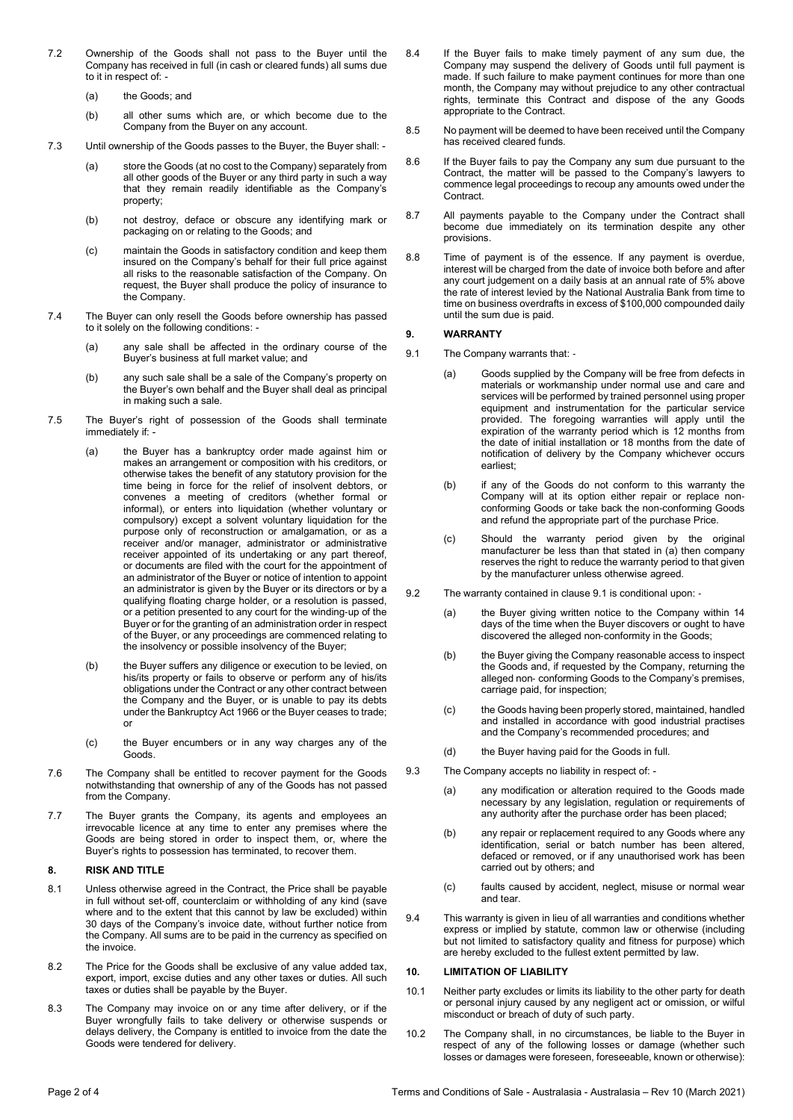- 7.2 Ownership of the Goods shall not pass to the Buyer until the Company has received in full (in cash or cleared funds) all sums due to it in respect of: -
	- (a) the Goods; and
	- (b) all other sums which are, or which become due to the Company from the Buyer on any account.
- 7.3 Until ownership of the Goods passes to the Buyer, the Buyer shall:
	- (a) store the Goods (at no cost to the Company) separately from all other goods of the Buyer or any third party in such a way that they remain readily identifiable as the Company's property;
	- (b) not destroy, deface or obscure any identifying mark or packaging on or relating to the Goods; and
	- (c) maintain the Goods in satisfactory condition and keep them insured on the Company's behalf for their full price against all risks to the reasonable satisfaction of the Company. On request, the Buyer shall produce the policy of insurance to the Company.
- 7.4 The Buyer can only resell the Goods before ownership has passed to it solely on the following conditions:
	- (a) any sale shall be affected in the ordinary course of the Buyer's business at full market value; and
	- (b) any such sale shall be a sale of the Company's property on the Buyer's own behalf and the Buyer shall deal as principal in making such a sale.
- 7.5 The Buyer's right of possession of the Goods shall terminate immediately if: -
	- (a) the Buyer has a bankruptcy order made against him or makes an arrangement or composition with his creditors, or otherwise takes the benefit of any statutory provision for the time being in force for the relief of insolvent debtors, or convenes a meeting of creditors (whether formal or informal), or enters into liquidation (whether voluntary or compulsory) except a solvent voluntary liquidation for the purpose only of reconstruction or amalgamation, or as a receiver and/or manager, administrator or administrative receiver appointed of its undertaking or any part thereof, or documents are filed with the court for the appointment of an administrator of the Buyer or notice of intention to appoint an administrator is given by the Buyer or its directors or by a qualifying floating charge holder, or a resolution is passed, or a petition presented to any court for the winding‐up of the Buyer or for the granting of an administration order in respect of the Buyer, or any proceedings are commenced relating to the insolvency or possible insolvency of the Buyer;
	- (b) the Buyer suffers any diligence or execution to be levied, on his/its property or fails to observe or perform any of his/its obligations under the Contract or any other contract between the Company and the Buyer, or is unable to pay its debts under the Bankruptcy Act 1966 or the Buyer ceases to trade; or
	- (c) the Buyer encumbers or in any way charges any of the Goods.
- 7.6 The Company shall be entitled to recover payment for the Goods notwithstanding that ownership of any of the Goods has not passed from the Company.
- 7.7 The Buyer grants the Company, its agents and employees an irrevocable licence at any time to enter any premises where the Goods are being stored in order to inspect them, or, where the Buyer's rights to possession has terminated, to recover them.

## 8. RISK AND TITLE

- 8.1 Unless otherwise agreed in the Contract, the Price shall be payable in full without set-off, counterclaim or withholding of any kind (save where and to the extent that this cannot by law be excluded) within 30 days of the Company's invoice date, without further notice from the Company. All sums are to be paid in the currency as specified on the invoice.
- 8.2 The Price for the Goods shall be exclusive of any value added tax, export, import, excise duties and any other taxes or duties. All such taxes or duties shall be payable by the Buyer.
- 8.3 The Company may invoice on or any time after delivery, or if the Buyer wrongfully fails to take delivery or otherwise suspends or delays delivery, the Company is entitled to invoice from the date the Goods were tendered for delivery.
- 8.4 If the Buyer fails to make timely payment of any sum due, the Company may suspend the delivery of Goods until full payment is made. If such failure to make payment continues for more than one month, the Company may without prejudice to any other contractual rights, terminate this Contract and dispose of the any Goods appropriate to the Contract.
- 8.5 No payment will be deemed to have been received until the Company has received cleared funds.
- 8.6 If the Buyer fails to pay the Company any sum due pursuant to the Contract, the matter will be passed to the Company's lawyers to commence legal proceedings to recoup any amounts owed under the Contract.
- 8.7 All payments payable to the Company under the Contract shall become due immediately on its termination despite any other provisions.
- 8.8 Time of payment is of the essence. If any payment is overdue, interest will be charged from the date of invoice both before and after any court judgement on a daily basis at an annual rate of 5% above the rate of interest levied by the National Australia Bank from time to time on business overdrafts in excess of \$100,000 compounded daily until the sum due is paid.

### 9. WARRANTY

- 9.1 The Company warrants that: -
	- (a) Goods supplied by the Company will be free from defects in materials or workmanship under normal use and care and services will be performed by trained personnel using proper equipment and instrumentation for the particular service provided. The foregoing warranties will apply until the expiration of the warranty period which is 12 months from the date of initial installation or 18 months from the date of notification of delivery by the Company whichever occurs earliest;
	- (b) if any of the Goods do not conform to this warranty the Company will at its option either repair or replace nonconforming Goods or take back the non‐conforming Goods and refund the appropriate part of the purchase Price.
	- (c) Should the warranty period given by the original manufacturer be less than that stated in (a) then company reserves the right to reduce the warranty period to that given by the manufacturer unless otherwise agreed.
- 9.2 The warranty contained in clause 9.1 is conditional upon: -
	- (a) the Buyer giving written notice to the Company within 14 days of the time when the Buyer discovers or ought to have discovered the alleged non‐conformity in the Goods;
	- (b) the Buyer giving the Company reasonable access to inspect the Goods and, if requested by the Company, returning the alleged non‐ conforming Goods to the Company's premises, carriage paid, for inspection;
	- (c) the Goods having been properly stored, maintained, handled and installed in accordance with good industrial practises and the Company's recommended procedures; and
	- (d) the Buyer having paid for the Goods in full.
- 9.3 The Company accepts no liability in respect of:
	- (a) any modification or alteration required to the Goods made necessary by any legislation, regulation or requirements of any authority after the purchase order has been placed;
	- (b) any repair or replacement required to any Goods where any identification, serial or batch number has been altered, defaced or removed, or if any unauthorised work has been carried out by others; and
	- (c) faults caused by accident, neglect, misuse or normal wear and tear.
- 9.4 This warranty is given in lieu of all warranties and conditions whether express or implied by statute, common law or otherwise (including but not limited to satisfactory quality and fitness for purpose) which are hereby excluded to the fullest extent permitted by law.

### 10. LIMITATION OF LIABILITY

- 10.1 Neither party excludes or limits its liability to the other party for death or personal injury caused by any negligent act or omission, or wilful misconduct or breach of duty of such party.
- 10.2 The Company shall, in no circumstances, be liable to the Buyer in respect of any of the following losses or damage (whether such losses or damages were foreseen, foreseeable, known or otherwise):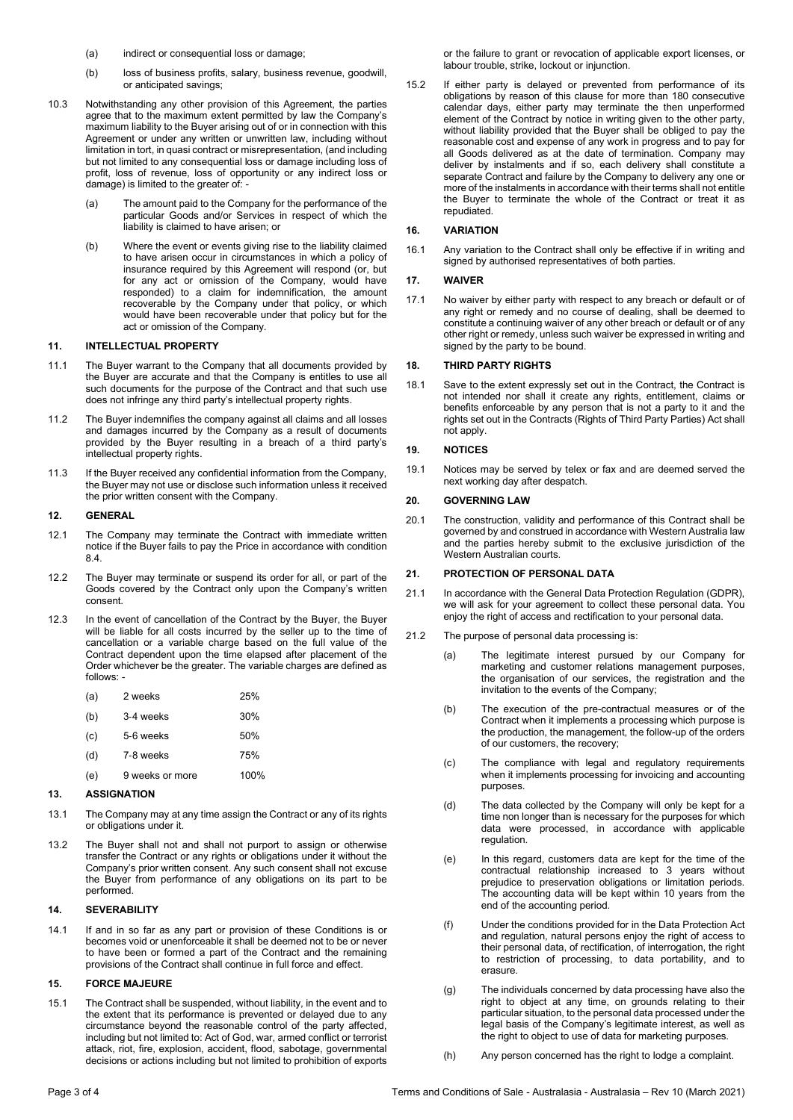- (a) indirect or consequential loss or damage:
- (b) loss of business profits, salary, business revenue, goodwill, or anticipated savings;
- 10.3 Notwithstanding any other provision of this Agreement, the parties agree that to the maximum extent permitted by law the Company's maximum liability to the Buyer arising out of or in connection with this Agreement or under any written or unwritten law, including without limitation in tort, in quasi contract or misrepresentation, (and including but not limited to any consequential loss or damage including loss of profit, loss of revenue, loss of opportunity or any indirect loss or damage) is limited to the greater of: -
	- (a) The amount paid to the Company for the performance of the particular Goods and/or Services in respect of which the liability is claimed to have arisen; or
	- (b) Where the event or events giving rise to the liability claimed to have arisen occur in circumstances in which a policy of insurance required by this Agreement will respond (or, but for any act or omission of the Company, would have responded) to a claim for indemnification, the amount recoverable by the Company under that policy, or which would have been recoverable under that policy but for the act or omission of the Company.

### 11. INTELLECTUAL PROPERTY

- 11.1 The Buyer warrant to the Company that all documents provided by the Buyer are accurate and that the Company is entitles to use all such documents for the purpose of the Contract and that such use does not infringe any third party's intellectual property rights.
- 11.2 The Buyer indemnifies the company against all claims and all losses and damages incurred by the Company as a result of documents provided by the Buyer resulting in a breach of a third party's intellectual property rights.
- 11.3 If the Buyer received any confidential information from the Company, the Buyer may not use or disclose such information unless it received the prior written consent with the Company.

# 12. GENERAL

- 12.1 The Company may terminate the Contract with immediate written notice if the Buyer fails to pay the Price in accordance with condition 8.4.
- 12.2 The Buyer may terminate or suspend its order for all, or part of the Goods covered by the Contract only upon the Company's written consent.
- 12.3 In the event of cancellation of the Contract by the Buyer, the Buyer will be liable for all costs incurred by the seller up to the time of cancellation or a variable charge based on the full value of the Contract dependent upon the time elapsed after placement of the Order whichever be the greater. The variable charges are defined as follows: -
	- (a) 2 weeks 25% (b) 3‐4 weeks 30%
	- (c) 5‐6 weeks 50%
	- (d) 7‐8 weeks 75%
	- (e) 9 weeks or more 100%

## 13. ASSIGNATION

- 13.1 The Company may at any time assign the Contract or any of its rights or obligations under it.
- 13.2 The Buyer shall not and shall not purport to assign or otherwise transfer the Contract or any rights or obligations under it without the Company's prior written consent. Any such consent shall not excuse the Buyer from performance of any obligations on its part to be performed.

### 14. SEVERABILITY

14.1 If and in so far as any part or provision of these Conditions is or becomes void or unenforceable it shall be deemed not to be or never to have been or formed a part of the Contract and the remaining provisions of the Contract shall continue in full force and effect.

### 15. FORCE MAJEURE

15.1 The Contract shall be suspended, without liability, in the event and to the extent that its performance is prevented or delayed due to any circumstance beyond the reasonable control of the party affected, including but not limited to: Act of God, war, armed conflict or terrorist attack, riot, fire, explosion, accident, flood, sabotage, governmental decisions or actions including but not limited to prohibition of exports or the failure to grant or revocation of applicable export licenses, or labour trouble, strike, lockout or injunction.

15.2 If either party is delayed or prevented from performance of its obligations by reason of this clause for more than 180 consecutive calendar days, either party may terminate the then unperformed element of the Contract by notice in writing given to the other party, without liability provided that the Buyer shall be obliged to pay the reasonable cost and expense of any work in progress and to pay for all Goods delivered as at the date of termination. Company may deliver by instalments and if so, each delivery shall constitute a separate Contract and failure by the Company to delivery any one or more of the instalments in accordance with their terms shall not entitle the Buyer to terminate the whole of the Contract or treat it as repudiated.

# 16. VARIATION

16.1 Any variation to the Contract shall only be effective if in writing and signed by authorised representatives of both parties.

### 17. WAIVER

17.1 No waiver by either party with respect to any breach or default or of any right or remedy and no course of dealing, shall be deemed to constitute a continuing waiver of any other breach or default or of any other right or remedy, unless such waiver be expressed in writing and signed by the party to be bound.

### 18. THIRD PARTY RIGHTS

18.1 Save to the extent expressly set out in the Contract, the Contract is not intended nor shall it create any rights, entitlement, claims or benefits enforceable by any person that is not a party to it and the rights set out in the Contracts (Rights of Third Party Parties) Act shall not apply.

### 19. NOTICES

19.1 Notices may be served by telex or fax and are deemed served the next working day after despatch.

### 20. GOVERNING LAW

20.1 The construction, validity and performance of this Contract shall be governed by and construed in accordance with Western Australia law and the parties hereby submit to the exclusive jurisdiction of the Western Australian courts.

## 21. PROTECTION OF PERSONAL DATA

- 21.1 In accordance with the General Data Protection Regulation (GDPR), we will ask for your agreement to collect these personal data. You enjoy the right of access and rectification to your personal data.
- 21.2 The purpose of personal data processing is:
	- (a) The legitimate interest pursued by our Company for marketing and customer relations management purposes, the organisation of our services, the registration and the invitation to the events of the Company;
	- (b) The execution of the pre-contractual measures or of the Contract when it implements a processing which purpose is the production, the management, the follow-up of the orders of our customers, the recovery;
	- (c) The compliance with legal and regulatory requirements when it implements processing for invoicing and accounting purposes.
	- (d) The data collected by the Company will only be kept for a time non longer than is necessary for the purposes for which data were processed, in accordance with applicable regulation.
	- (e) In this regard, customers data are kept for the time of the contractual relationship increased to 3 years without prejudice to preservation obligations or limitation periods. The accounting data will be kept within 10 years from the end of the accounting period.
	- (f) Under the conditions provided for in the Data Protection Act and regulation, natural persons enjoy the right of access to their personal data, of rectification, of interrogation, the right to restriction of processing, to data portability, and to erasure.
	- (g) The individuals concerned by data processing have also the right to object at any time, on grounds relating to their particular situation, to the personal data processed under the legal basis of the Company's legitimate interest, as well as the right to object to use of data for marketing purposes.
	- (h) Any person concerned has the right to lodge a complaint.